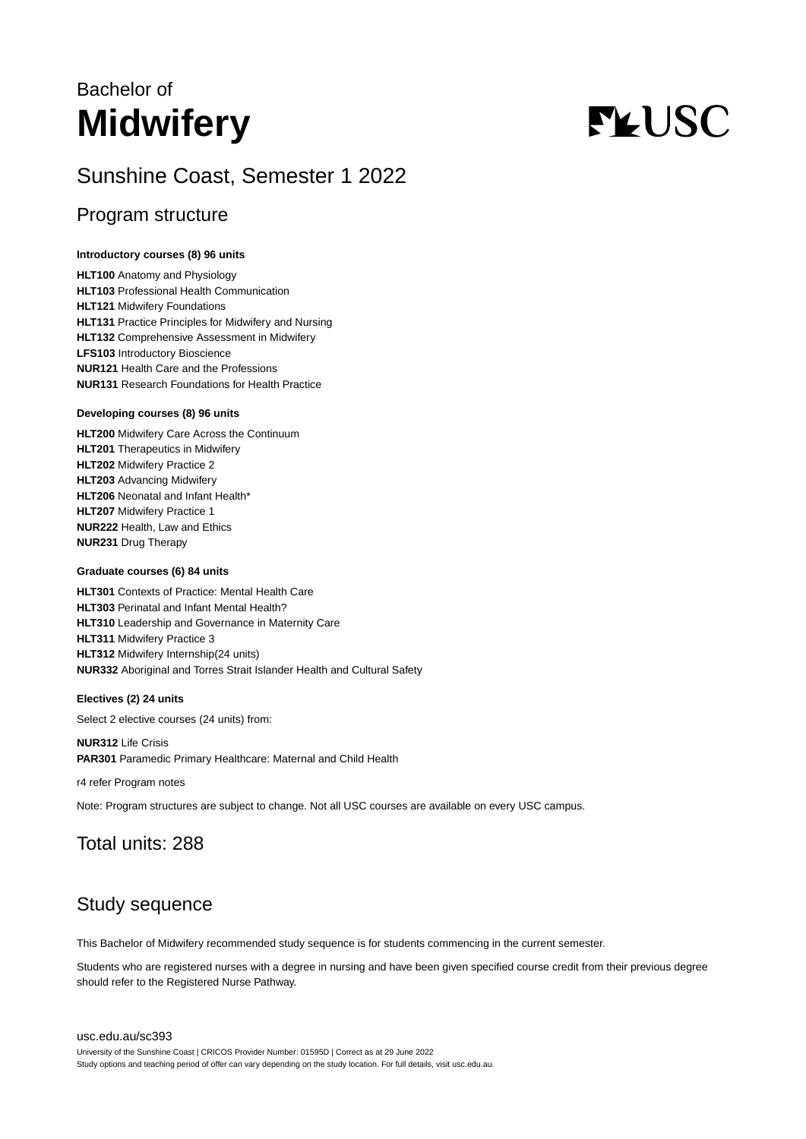## Bachelor of **Midwifery**

# **FLUSC**

## Sunshine Coast, Semester 1 2022

## Program structure

#### **Introductory courses (8) 96 units**

**HLT100** Anatomy and Physiology **HLT103** Professional Health Communication **HLT121** Midwifery Foundations **HLT131** Practice Principles for Midwifery and Nursing **HLT132** Comprehensive Assessment in Midwifery **LFS103** Introductory Bioscience **NUR121** Health Care and the Professions **NUR131** Research Foundations for Health Practice

#### **Developing courses (8) 96 units**

**HLT200** Midwifery Care Across the Continuum **HLT201** Therapeutics in Midwifery **HLT202** Midwifery Practice 2 **HLT203** Advancing Midwifery **HLT206** Neonatal and Infant Health\* **HLT207** Midwifery Practice 1 **NUR222** Health, Law and Ethics **NUR231** Drug Therapy

#### **Graduate courses (6) 84 units**

**HLT301** Contexts of Practice: Mental Health Care **HLT303** Perinatal and Infant Mental Health? **HLT310** Leadership and Governance in Maternity Care **HLT311** Midwifery Practice 3 **HLT312** Midwifery Internship(24 units) **NUR332** Aboriginal and Torres Strait Islander Health and Cultural Safety

#### **Electives (2) 24 units**

Select 2 elective courses (24 units) from:

**NUR312** Life Crisis **PAR301** Paramedic Primary Healthcare: Maternal and Child Health

r4 refer Program notes

Note: Program structures are subject to change. Not all USC courses are available on every USC campus.

## Total units: 288

## Study sequence

This Bachelor of Midwifery recommended study sequence is for students commencing in the current semester.

Students who are registered nurses with a degree in nursing and have been given specified course credit from their previous degree should refer to the Registered Nurse Pathway.

#### [usc.edu.au/sc393](https://www.usc.edu.au/sc393)

University of the Sunshine Coast | CRICOS Provider Number: 01595D | Correct as at 29 June 2022 Study options and teaching period of offer can vary depending on the study location. For full details, visit usc.edu.au.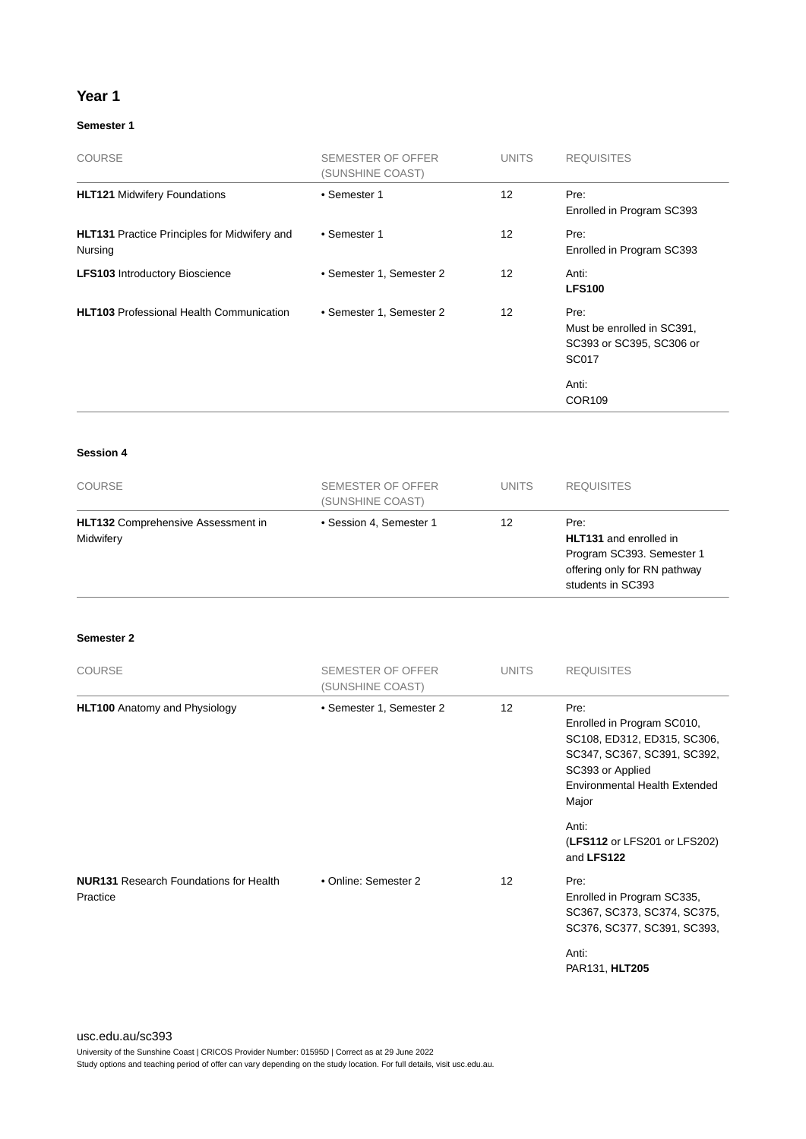#### **Year 1**

#### **Semester 1**

| <b>COURSE</b>                                                  | SEMESTER OF OFFER<br>(SUNSHINE COAST) | <b>UNITS</b>      | <b>REQUISITES</b>                                                                                        |
|----------------------------------------------------------------|---------------------------------------|-------------------|----------------------------------------------------------------------------------------------------------|
| <b>HLT121 Midwifery Foundations</b>                            | • Semester 1                          | 12                | Pre:<br>Enrolled in Program SC393                                                                        |
| <b>HLT131</b> Practice Principles for Midwifery and<br>Nursing | • Semester 1                          | 12                | Pre:<br>Enrolled in Program SC393                                                                        |
| <b>LFS103</b> Introductory Bioscience                          | • Semester 1, Semester 2              | $12 \overline{ }$ | Anti:<br><b>LFS100</b>                                                                                   |
| <b>HLT103</b> Professional Health Communication                | • Semester 1, Semester 2              | 12                | Pre:<br>Must be enrolled in SC391,<br>SC393 or SC395, SC306 or<br><b>SC017</b><br>Anti:<br><b>COR109</b> |

#### **Session 4**

| <b>COURSE</b>                                          | SEMESTER OF OFFER<br>(SUNSHINE COAST) | <b>UNITS</b> | <b>REQUISITES</b>                                                                                                       |
|--------------------------------------------------------|---------------------------------------|--------------|-------------------------------------------------------------------------------------------------------------------------|
| <b>HLT132</b> Comprehensive Assessment in<br>Midwifery | • Session 4, Semester 1               | 12           | Pre:<br><b>HLT131</b> and enrolled in<br>Program SC393. Semester 1<br>offering only for RN pathway<br>students in SC393 |

#### **Semester 2**

| <b>COURSE</b>                                             | SEMESTER OF OFFER<br>(SUNSHINE COAST) | <b>UNITS</b>      | <b>REQUISITES</b>                                                                                                                                                     |
|-----------------------------------------------------------|---------------------------------------|-------------------|-----------------------------------------------------------------------------------------------------------------------------------------------------------------------|
| <b>HLT100</b> Anatomy and Physiology                      | • Semester 1, Semester 2              | 12 <sup>2</sup>   | Pre:<br>Enrolled in Program SC010,<br>SC108, ED312, ED315, SC306,<br>SC347, SC367, SC391, SC392,<br>SC393 or Applied<br><b>Environmental Health Extended</b><br>Major |
|                                                           |                                       |                   | Anti:<br>(LFS112 or LFS201 or LFS202)<br>and LFS122                                                                                                                   |
| <b>NUR131 Research Foundations for Health</b><br>Practice | • Online: Semester 2                  | $12 \overline{ }$ | Pre:<br>Enrolled in Program SC335,<br>SC367, SC373, SC374, SC375,<br>SC376, SC377, SC391, SC393,                                                                      |
|                                                           |                                       |                   | Anti:<br>PAR131, HLT205                                                                                                                                               |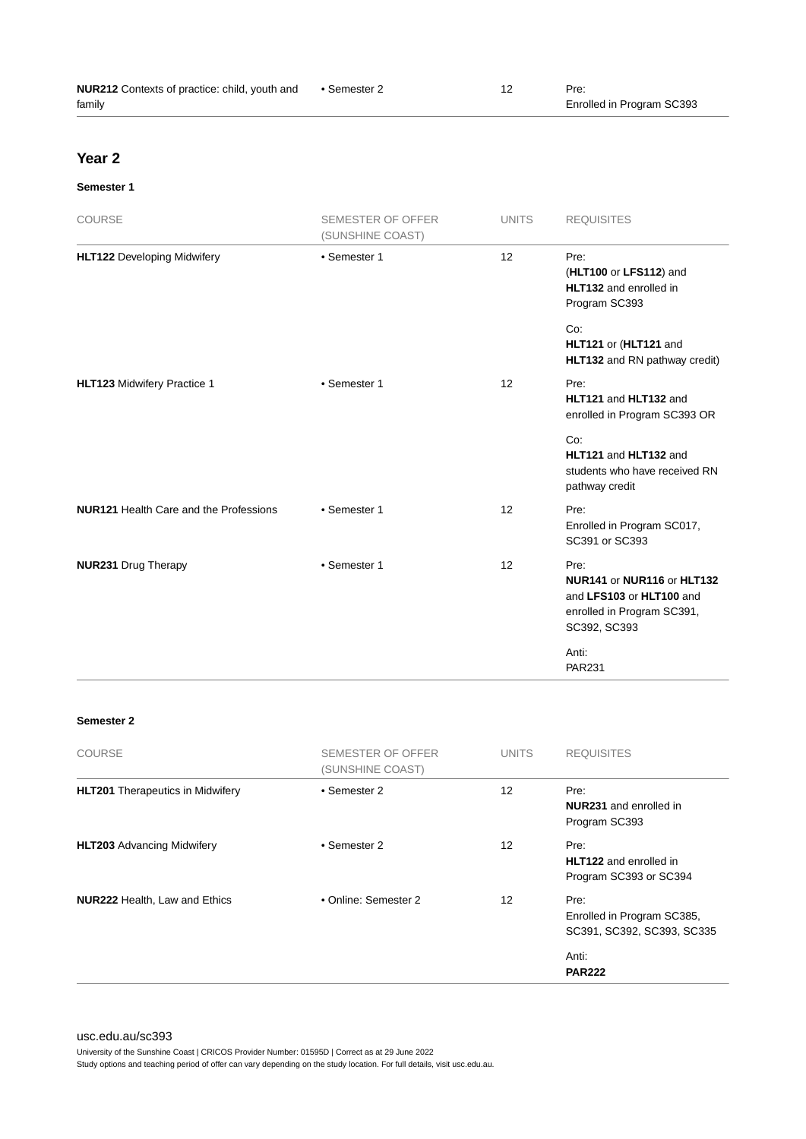| <b>NUR212</b> Contexts of practice: child, youth and | ● Semester 2 | Pre:                      |
|------------------------------------------------------|--------------|---------------------------|
| family                                               |              | Enrolled in Program SC393 |

## **Year 2**

#### **Semester 1**

| COURSE                                        | <b>SEMESTER OF OFFER</b><br>(SUNSHINE COAST) | <b>UNITS</b> | <b>REQUISITES</b>                                                                                            |
|-----------------------------------------------|----------------------------------------------|--------------|--------------------------------------------------------------------------------------------------------------|
| <b>HLT122 Developing Midwifery</b>            | • Semester 1                                 | 12           | Pre:<br>(HLT100 or LFS112) and<br>HLT132 and enrolled in<br>Program SC393                                    |
|                                               |                                              |              | Co:<br>HLT121 or (HLT121 and<br>HLT132 and RN pathway credit)                                                |
| HLT123 Midwifery Practice 1                   | • Semester 1                                 | 12           | Pre:<br>HLT121 and HLT132 and<br>enrolled in Program SC393 OR                                                |
|                                               |                                              |              | Co:<br>HLT121 and HLT132 and<br>students who have received RN<br>pathway credit                              |
| <b>NUR121 Health Care and the Professions</b> | • Semester 1                                 | 12           | Pre:<br>Enrolled in Program SC017,<br>SC391 or SC393                                                         |
| <b>NUR231 Drug Therapy</b>                    | • Semester 1                                 | 12           | Pre:<br>NUR141 or NUR116 or HLT132<br>and LFS103 or HLT100 and<br>enrolled in Program SC391,<br>SC392, SC393 |
|                                               |                                              |              | Anti:<br><b>PAR231</b>                                                                                       |

#### **Semester 2**

| <b>COURSE</b>                           | SEMESTER OF OFFER<br>(SUNSHINE COAST) | <b>UNITS</b> | <b>REQUISITES</b>                                                |
|-----------------------------------------|---------------------------------------|--------------|------------------------------------------------------------------|
| <b>HLT201</b> Therapeutics in Midwifery | • Semester 2                          | 12           | Pre:<br><b>NUR231</b> and enrolled in<br>Program SC393           |
| <b>HLT203</b> Advancing Midwifery       | • Semester 2                          | 12           | Pre:<br><b>HLT122</b> and enrolled in<br>Program SC393 or SC394  |
| <b>NUR222 Health, Law and Ethics</b>    | • Online: Semester 2                  | 12           | Pre:<br>Enrolled in Program SC385,<br>SC391, SC392, SC393, SC335 |
|                                         |                                       |              | Anti:<br><b>PAR222</b>                                           |

[usc.edu.au/sc393](https://www.usc.edu.au/sc393)

University of the Sunshine Coast | CRICOS Provider Number: 01595D | Correct as at 29 June 2022

Study options and teaching period of offer can vary depending on the study location. For full details, visit usc.edu.au.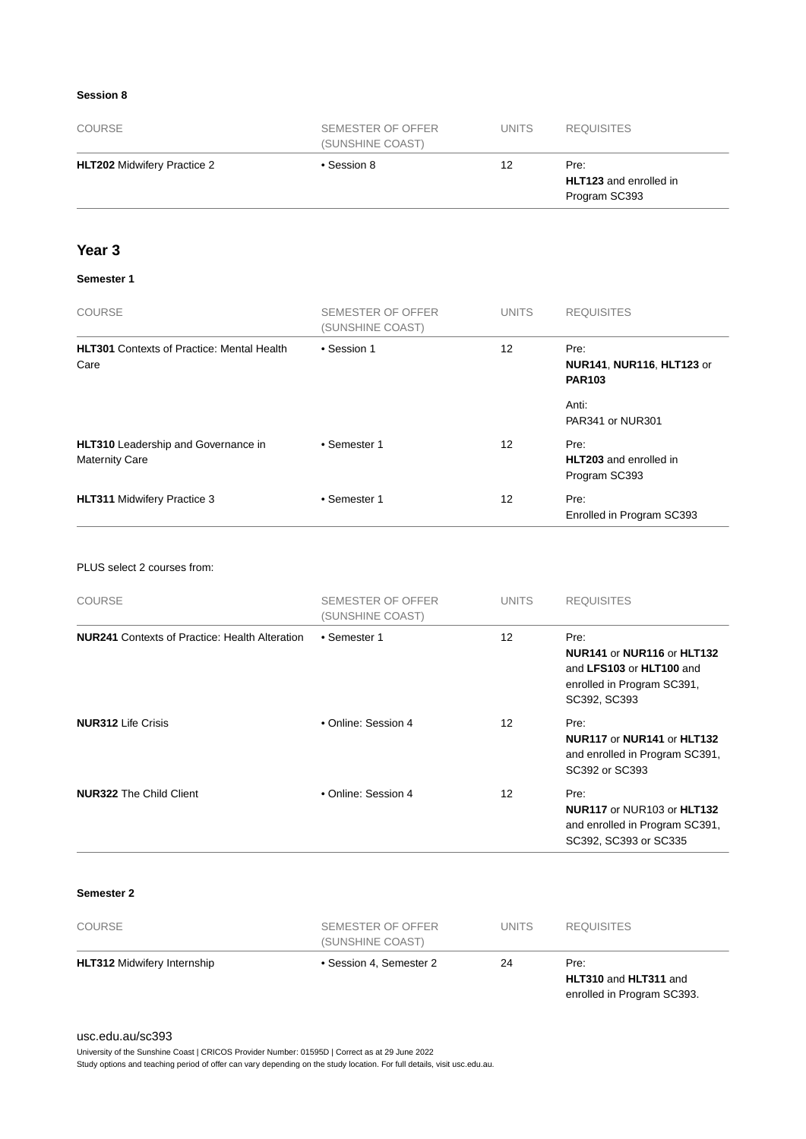#### **Session 8**

| <b>COURSE</b>                      | SEMESTER OF OFFER<br>(SUNSHINE COAST) | <b>UNITS</b> | <b>REQUISITES</b>                                      |
|------------------------------------|---------------------------------------|--------------|--------------------------------------------------------|
| <b>HLT202</b> Midwifery Practice 2 | • Session 8                           | 12           | Pre:<br><b>HLT123</b> and enrolled in<br>Program SC393 |

### **Year 3**

#### **Semester 1**

| <b>COURSE</b>                                                       | <b>SEMESTER OF OFFER</b><br>(SUNSHINE COAST) | <b>UNITS</b>      | <b>REQUISITES</b>                                         |
|---------------------------------------------------------------------|----------------------------------------------|-------------------|-----------------------------------------------------------|
| <b>HLT301</b> Contexts of Practice: Mental Health<br>Care           | • Session 1                                  | 12                | Pre:<br><b>NUR141, NUR116, HLT123 or</b><br><b>PAR103</b> |
|                                                                     |                                              |                   | Anti:<br>PAR341 or NUR301                                 |
| <b>HLT310</b> Leadership and Governance in<br><b>Maternity Care</b> | • Semester 1                                 | 12                | Pre:<br><b>HLT203</b> and enrolled in<br>Program SC393    |
| <b>HLT311 Midwifery Practice 3</b>                                  | • Semester 1                                 | $12 \overline{ }$ | Pre:<br>Enrolled in Program SC393                         |

#### PLUS select 2 courses from:

| <b>COURSE</b>                                         | SEMESTER OF OFFER<br>(SUNSHINE COAST) | <b>UNITS</b> | <b>REQUISITES</b>                                                                                            |
|-------------------------------------------------------|---------------------------------------|--------------|--------------------------------------------------------------------------------------------------------------|
| <b>NUR241</b> Contexts of Practice: Health Alteration | • Semester 1                          | 12           | Pre:<br>NUR141 or NUR116 or HLT132<br>and LFS103 or HLT100 and<br>enrolled in Program SC391,<br>SC392, SC393 |
| <b>NUR312</b> Life Crisis                             | • Online: Session 4                   | 12           | Pre:<br>NUR117 or NUR141 or HLT132<br>and enrolled in Program SC391,<br>SC392 or SC393                       |
| <b>NUR322</b> The Child Client                        | • Online: Session 4                   | 12           | Pre:<br>NUR117 or NUR103 or HLT132<br>and enrolled in Program SC391,<br>SC392, SC393 or SC335                |

#### **Semester 2**

| <b>HLT312 Midwifery Internship</b> | (SUNSHINE COAST)<br>• Session 4, Semester 2 | 24 | Pre:                  |  |
|------------------------------------|---------------------------------------------|----|-----------------------|--|
|                                    |                                             |    | HLT310 and HLT311 and |  |

enrolled in Program SC393.

#### [usc.edu.au/sc393](https://www.usc.edu.au/sc393)

University of the Sunshine Coast | CRICOS Provider Number: 01595D | Correct as at 29 June 2022

Study options and teaching period of offer can vary depending on the study location. For full details, visit usc.edu.au.